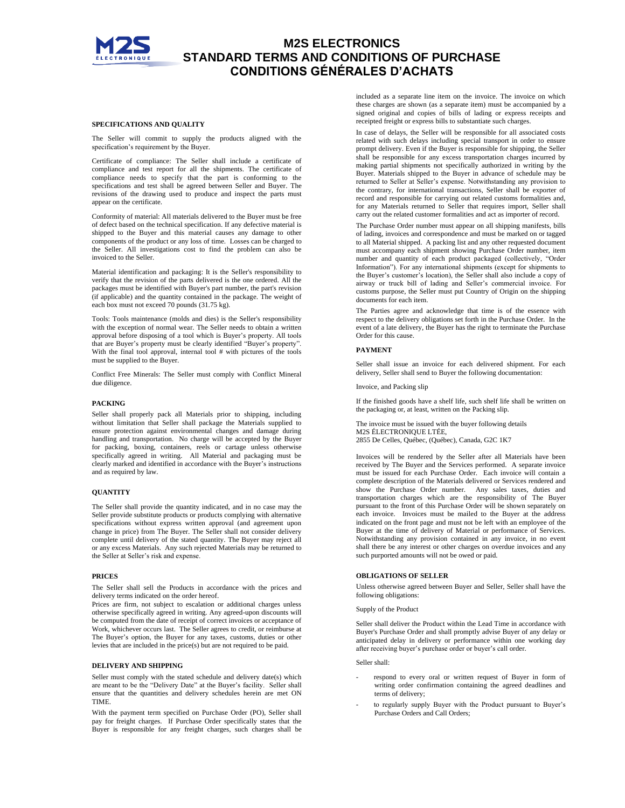

## **SPECIFICATIONS AND QUALITY**

The Seller will commit to supply the products aligned with the specification's requirement by the Buyer.

Certificate of compliance: The Seller shall include a certificate of compliance and test report for all the shipments. The certificate of compliance needs to specify that the part is conforming to the specifications and test shall be agreed between Seller and Buyer. The revisions of the drawing used to produce and inspect the parts must appear on the certificate.

Conformity of material: All materials delivered to the Buyer must be free of defect based on the technical specification. If any defective material is shipped to the Buyer and this material causes any damage to other components of the product or any loss of time. Losses can be charged to the Seller. All investigations cost to find the problem can also be invoiced to the Seller.

Material identification and packaging: It is the Seller's responsibility to verify that the revision of the parts delivered is the one ordered. All the packages must be identified with Buyer's part number, the part's revision (if applicable) and the quantity contained in the package. The weight of each box must not exceed 70 pounds (31.75 kg).

Tools: Tools maintenance (molds and dies) is the Seller's responsibility with the exception of normal wear. The Seller needs to obtain a written approval before disposing of a tool which is Buyer's property. All tools that are Buyer's property must be clearly identified "Buyer's property". With the final tool approval, internal tool # with pictures of the tools must be supplied to the Buyer.

Conflict Free Minerals: The Seller must comply with Conflict Mineral due diligence.

#### **PACKING**

Seller shall properly pack all Materials prior to shipping, including without limitation that Seller shall package the Materials supplied to ensure protection against environmental changes and damage during handling and transportation. No charge will be accepted by the Buyer for packing, boxing, containers, reels or cartage unless otherwise specifically agreed in writing. All Material and packaging must be clearly marked and identified in accordance with the Buyer's instructions and as required by law.

## **QUANTITY**

The Seller shall provide the quantity indicated, and in no case may the Seller provide substitute products or products complying with alternative specifications without express written approval (and agreement upon change in price) from The Buyer. The Seller shall not consider delivery complete until delivery of the stated quantity. The Buyer may reject all or any excess Materials. Any such rejected Materials may be returned to the Seller at Seller's risk and expense.

## **PRICES**

The Seller shall sell the Products in accordance with the prices and delivery terms indicated on the order hereof.

Prices are firm, not subject to escalation or additional charges unless otherwise specifically agreed in writing. Any agreed-upon discounts will be computed from the date of receipt of correct invoices or acceptance of Work, whichever occurs last. The Seller agrees to credit, or reimburse at The Buyer's option, the Buyer for any taxes, customs, duties or other levies that are included in the price(s) but are not required to be paid.

## **DELIVERY AND SHIPPING**

Seller must comply with the stated schedule and delivery date(s) which are meant to be the "Delivery Date" at the Buyer's facility. Seller shall ensure that the quantities and delivery schedules herein are met ON TIME.

With the payment term specified on Purchase Order (PO), Seller shall pay for freight charges. If Purchase Order specifically states that the Buyer is responsible for any freight charges, such charges shall be

included as a separate line item on the invoice. The invoice on which these charges are shown (as a separate item) must be accompanied by a signed original and copies of bills of lading or express receipts and receipted freight or express bills to substantiate such charges.

In case of delays, the Seller will be responsible for all associated costs related with such delays including special transport in order to ensure prompt delivery. Even if the Buyer is responsible for shipping, the Seller shall be responsible for any excess transportation charges incurred by making partial shipments not specifically authorized in writing by the Buyer. Materials shipped to the Buyer in advance of schedule may be returned to Seller at Seller's expense. Notwithstanding any provision to the contrary, for international transactions, Seller shall be exporter of record and responsible for carrying out related customs formalities and, for any Materials returned to Seller that requires import, Seller shall carry out the related customer formalities and act as importer of record.

The Purchase Order number must appear on all shipping manifests, bills of lading, invoices and correspondence and must be marked on or tagged to all Material shipped. A packing list and any other requested document must accompany each shipment showing Purchase Order number, item number and quantity of each product packaged (collectively, "Order Information"). For any international shipments (except for shipments to the Buyer's customer's location), the Seller shall also include a copy of airway or truck bill of lading and Seller's commercial invoice. For customs purpose, the Seller must put Country of Origin on the shipping documents for each item.

The Parties agree and acknowledge that time is of the essence with respect to the delivery obligations set forth in the Purchase Order. In the event of a late delivery, the Buyer has the right to terminate the Purchase Order for this cause.

#### **PAYMENT**

Seller shall issue an invoice for each delivered shipment. For each delivery, Seller shall send to Buyer the following documentation:

Invoice, and Packing slip

If the finished goods have a shelf life, such shelf life shall be written on the packaging or, at least, written on the Packing slip.

The invoice must be issued with the buyer following details M2S ÉLECTRONIQUE LTÉE, 2855 De Celles, Québec, (Québec), Canada, G2C 1K7

Invoices will be rendered by the Seller after all Materials have been received by The Buyer and the Services performed. A separate invoice must be issued for each Purchase Order. Each invoice will contain a complete description of the Materials delivered or Services rendered and show the Purchase Order number. Any sales taxes, duties and transportation charges which are the responsibility of The Buyer pursuant to the front of this Purchase Order will be shown separately on each invoice. Invoices must be mailed to the Buyer at the address indicated on the front page and must not be left with an employee of the Buyer at the time of delivery of Material or performance of Services. Notwithstanding any provision contained in any invoice, in no event shall there be any interest or other charges on overdue invoices and any such purported amounts will not be owed or paid.

## **OBLIGATIONS OF SELLER**

Unless otherwise agreed between Buyer and Seller, Seller shall have the following obligations:

Supply of the Product

Seller shall deliver the Product within the Lead Time in accordance with Buyer's Purchase Order and shall promptly advise Buyer of any delay or anticipated delay in delivery or performance within one working day after receiving buyer's purchase order or buyer's call order.

## Seller shall:

- respond to every oral or written request of Buyer in form of writing order confirmation containing the agreed deadlines and terms of delivery;
- to regularly supply Buyer with the Product pursuant to Buyer's Purchase Orders and Call Orders;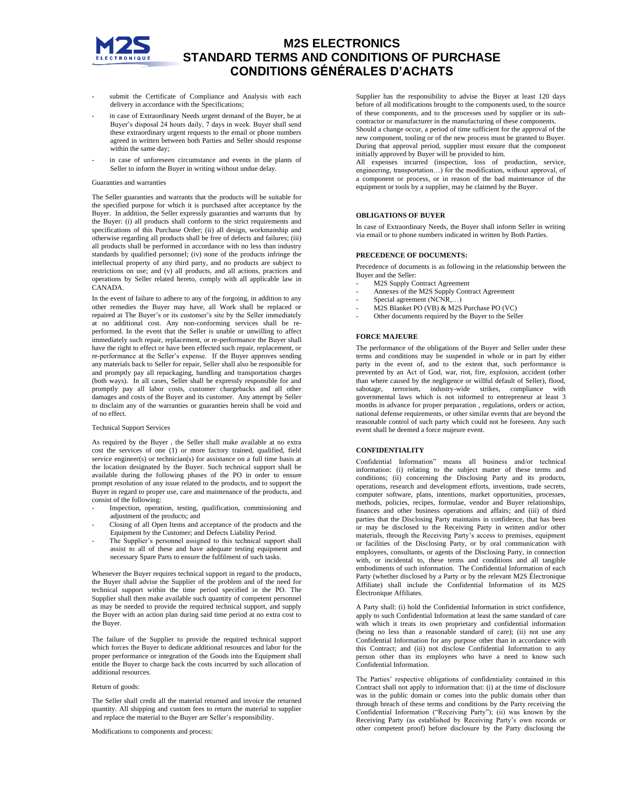

- submit the Certificate of Compliance and Analysis with each delivery in accordance with the Specifications;
- in case of Extraordinary Needs urgent demand of the Buyer, be at Buyer's disposal 24 hours daily, 7 days in week. Buyer shall send these extraordinary urgent requests to the email or phone numbers agreed in written between both Parties and Seller should response within the same day;
- in case of unforeseen circumstance and events in the plants of Seller to inform the Buyer in writing without undue delay.

## Guaranties and warranties

The Seller guaranties and warrants that the products will be suitable for the specified purpose for which it is purchased after acceptance by the Buyer. In addition, the Seller expressly guaranties and warrants that by the Buyer: (i) all products shall conform to the strict requirements and specifications of this Purchase Order; (ii) all design, workmanship and otherwise regarding all products shall be free of defects and failures; (iii) all products shall be performed in accordance with no less than industry standards by qualified personnel; (iv) none of the products infringe the intellectual property of any third party, and no products are subject to restrictions on use; and (v) all products, and all actions, practices and operations by Seller related hereto, comply with all applicable law in CANADA.

In the event of failure to adhere to any of the forgoing, in addition to any other remedies the Buyer may have, all Work shall be replaced or repaired at The Buyer's or its customer's site by the Seller immediately at no additional cost. Any non-conforming services shall be reperformed. In the event that the Seller is unable or unwilling to affect immediately such repair, replacement, or re-performance the Buyer shall have the right to effect or have been effected such repair, replacement, or re-performance at the Seller's expense. If the Buyer approves sending any materials back to Seller for repair, Seller shall also be responsible for and promptly pay all repackaging, handling and transportation charges (both ways). In all cases, Seller shall be expressly responsible for and promptly pay all labor costs, customer chargebacks and all other damages and costs of the Buyer and its customer. Any attempt by Seller to disclaim any of the warranties or guaranties herein shall be void and of no effect.

## Technical Support Services

As required by the Buyer , the Seller shall make available at no extra cost the services of one (1) or more factory trained, qualified, field service engineer(s) or technician(s) for assistance on a full time basis at the location designated by the Buyer. Such technical support shall be available during the following phases of the PO in order to ensure prompt resolution of any issue related to the products, and to support the Buyer in regard to proper use, care and maintenance of the products, and consist of the following:

- Inspection, operation, testing, qualification, commissioning and adjustment of the products; and
- Closing of all Open Items and acceptance of the products and the Equipment by the Customer; and Defects Liability Period.
- The Supplier's personnel assigned to this technical support shall assist to all of these and have adequate testing equipment and necessary Spare Parts to ensure the fulfilment of such tasks.

Whenever the Buyer requires technical support in regard to the products, the Buyer shall advise the Supplier of the problem and of the need for technical support within the time period specified in the PO. The Supplier shall then make available such quantity of competent personnel as may be needed to provide the required technical support, and supply the Buyer with an action plan during said time period at no extra cost to the Buyer.

The failure of the Supplier to provide the required technical support which forces the Buyer to dedicate additional resources and labor for the proper performance or integration of the Goods into the Equipment shall entitle the Buyer to charge back the costs incurred by such allocation of additional resources.

## Return of goods:

The Seller shall credit all the material returned and invoice the returned quantity. All shipping and custom fees to return the material to supplier and replace the material to the Buyer are Seller's responsibility.

Modifications to components and process:

Supplier has the responsibility to advise the Buyer at least 120 days before of all modifications brought to the components used, to the source of these components, and to the processes used by supplier or its subcontractor or manufacturer in the manufacturing of these components.

Should a change occur, a period of time sufficient for the approval of the new component, tooling or of the new process must be granted to Buyer. During that approval period, supplier must ensure that the component initially approved by Buyer will be provided to him.

All expenses incurred (inspection, loss of production, service, engineering, transportation…) for the modification, without approval, of a component or process, or in reason of the bad maintenance of the equipment or tools by a supplier, may be claimed by the Buyer.

## **OBLIGATIONS OF BUYER**

In case of Extraordinary Needs, the Buyer shall inform Seller in writing via email or to phone numbers indicated in written by Both Parties.

#### **PRECEDENCE OF DOCUMENTS:**

Precedence of documents is as following in the relationship between the Buyer and the Seller:

- M2S Supply Contract Agreement
- Annexes of the M2S Supply Contract Agreement
- Special agreement (NCNR,...)
- M2S Blanket PO (VB) & M2S Purchase PO (VC)
- Other documents required by the Buyer to the Seller

## **FORCE MAJEURE**

The performance of the obligations of the Buyer and Seller under these terms and conditions may be suspended in whole or in part by either party in the event of, and to the extent that, such performance is prevented by an Act of God, war, riot, fire, explosion, accident (other than where caused by the negligence or willful default of Seller), flood, sabotage, terrorism, industry-wide strikes, compliance with governmental laws which is not informed to entrepreneur at least 3 months in advance for proper preparation , regulations, orders or action, national defense requirements, or other similar events that are beyond the reasonable control of such party which could not be foreseen. Any such event shall be deemed a force majeure event.

## **CONFIDENTIALITY**

Confidential Information" means all business and/or technical information: (i) relating to the subject matter of these terms and conditions; (ii) concerning the Disclosing Party and its products, operations, research and development efforts, inventions, trade secrets, computer software, plans, intentions, market opportunities, processes, methods, policies, recipes, formulae, vendor and Buyer relationships, finances and other business operations and affairs; and (iii) of third parties that the Disclosing Party maintains in confidence, that has been or may be disclosed to the Receiving Party in written and/or other materials, through the Receiving Party's access to premises, equipment or facilities of the Disclosing Party, or by oral communication with employees, consultants, or agents of the Disclosing Party, in connection with, or incidental to, these terms and conditions and all tangible embodiments of such information. The Confidential Information of each Party (whether disclosed by a Party or by the relevant M2S Électronique Affiliate) shall include the Confidential Information of its M2S Électronique Affiliates.

A Party shall: (i) hold the Confidential Information in strict confidence, apply to such Confidential Information at least the same standard of care with which it treats its own proprietary and confidential information (being no less than a reasonable standard of care); (ii) not use any Confidential Information for any purpose other than in accordance with this Contract; and (iii) not disclose Confidential Information to any person other than its employees who have a need to know such Confidential Information.

The Parties' respective obligations of confidentiality contained in this Contract shall not apply to information that: (i) at the time of disclosure was in the public domain or comes into the public domain other than through breach of these terms and conditions by the Party receiving the Confidential Information ("Receiving Party"); (ii) was known by the Receiving Party (as established by Receiving Party's own records or other competent proof) before disclosure by the Party disclosing the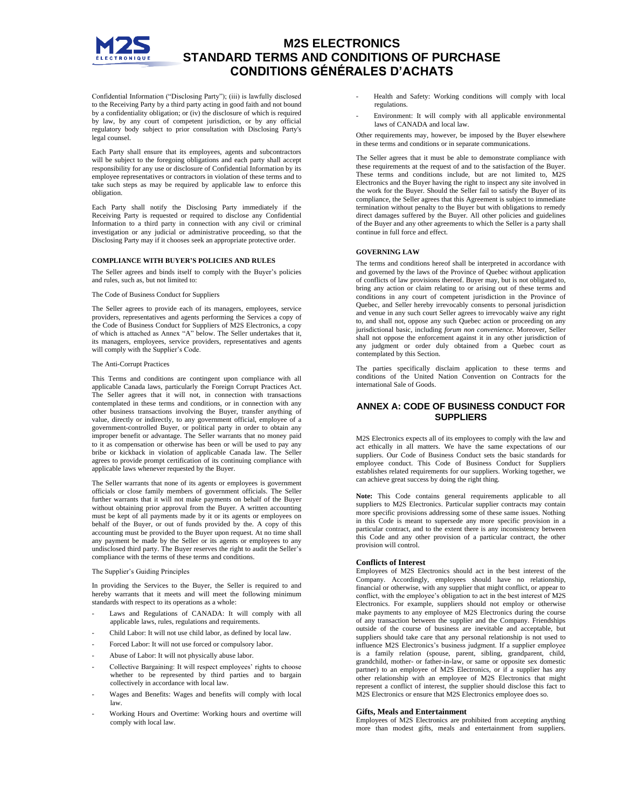

Confidential Information ("Disclosing Party"); (iii) is lawfully disclosed to the Receiving Party by a third party acting in good faith and not bound by a confidentiality obligation; or (iv) the disclosure of which is required by law, by any court of competent jurisdiction, or by any official regulatory body subject to prior consultation with Disclosing Party's legal counsel.

Each Party shall ensure that its employees, agents and subcontractors will be subject to the foregoing obligations and each party shall accept responsibility for any use or disclosure of Confidential Information by its employee representatives or contractors in violation of these terms and to take such steps as may be required by applicable law to enforce this obligation.

Each Party shall notify the Disclosing Party immediately if the Receiving Party is requested or required to disclose any Confidential Information to a third party in connection with any civil or criminal investigation or any judicial or administrative proceeding, so that the Disclosing Party may if it chooses seek an appropriate protective order.

### **COMPLIANCE WITH BUYER'S POLICIES AND RULES**

The Seller agrees and binds itself to comply with the Buyer's policies and rules, such as, but not limited to:

## The Code of Business Conduct for Suppliers

The Seller agrees to provide each of its managers, employees, service providers, representatives and agents performing the Services a copy of the Code of Business Conduct for Suppliers of M2S Electronics, a copy of which is attached as Annex "A" below. The Seller undertakes that it, its managers, employees, service providers, representatives and agents will comply with the Supplier's Code.

#### The Anti-Corrupt Practices

This Terms and conditions are contingent upon compliance with all applicable Canada laws, particularly the Foreign Corrupt Practices Act. The Seller agrees that it will not, in connection with transactions contemplated in these terms and conditions, or in connection with any other business transactions involving the Buyer, transfer anything of value, directly or indirectly, to any government official, employee of a government-controlled Buyer, or political party in order to obtain any improper benefit or advantage. The Seller warrants that no money paid to it as compensation or otherwise has been or will be used to pay any bribe or kickback in violation of applicable Canada law. The Seller agrees to provide prompt certification of its continuing compliance with applicable laws whenever requested by the Buyer.

The Seller warrants that none of its agents or employees is government officials or close family members of government officials. The Seller further warrants that it will not make payments on behalf of the Buyer without obtaining prior approval from the Buyer. A written accounting must be kept of all payments made by it or its agents or employees on behalf of the Buyer, or out of funds provided by the. A copy of this accounting must be provided to the Buyer upon request. At no time shall any payment be made by the Seller or its agents or employees to any undisclosed third party. The Buyer reserves the right to audit the Seller's compliance with the terms of these terms and conditions.

## The Supplier's Guiding Principles

In providing the Services to the Buyer, the Seller is required to and hereby warrants that it meets and will meet the following minimum standards with respect to its operations as a whole:

- Laws and Regulations of CANADA: It will comply with all applicable laws, rules, regulations and requirements.
- Child Labor: It will not use child labor, as defined by local law.
- Forced Labor: It will not use forced or compulsory labor.
- Abuse of Labor: It will not physically abuse labor.
- Collective Bargaining: It will respect employees' rights to choose whether to be represented by third parties and to bargain collectively in accordance with local law.
- Wages and Benefits: Wages and benefits will comply with local law.
- Working Hours and Overtime: Working hours and overtime will comply with local law.
- Health and Safety: Working conditions will comply with local regulations.
- Environment: It will comply with all applicable environmental laws of CANADA and local law.

Other requirements may, however, be imposed by the Buyer elsewhere in these terms and conditions or in separate communications.

The Seller agrees that it must be able to demonstrate compliance with these requirements at the request of and to the satisfaction of the Buyer. These terms and conditions include, but are not limited to, M2S Electronics and the Buyer having the right to inspect any site involved in the work for the Buyer. Should the Seller fail to satisfy the Buyer of its compliance, the Seller agrees that this Agreement is subject to immediate termination without penalty to the Buyer but with obligations to remedy direct damages suffered by the Buyer. All other policies and guidelines of the Buyer and any other agreements to which the Seller is a party shall continue in full force and effect.

#### **GOVERNING LAW**

The terms and conditions hereof shall be interpreted in accordance with and governed by the laws of the Province of Quebec without application of conflicts of law provisions thereof. Buyer may, but is not obligated to, bring any action or claim relating to or arising out of these terms and conditions in any court of competent jurisdiction in the Province of Quebec, and Seller hereby irrevocably consents to personal jurisdiction and venue in any such court Seller agrees to irrevocably waive any right to, and shall not, oppose any such Quebec action or proceeding on any jurisdictional basic, including *forum non convenience.* Moreover, Seller shall not oppose the enforcement against it in any other jurisdiction of any judgment or order duly obtained from a Quebec court as contemplated by this Section.

The parties specifically disclaim application to these terms and conditions of the United Nation Convention on Contracts for the international Sale of Goods.

## **ANNEX A: CODE OF BUSINESS CONDUCT FOR SUPPLIERS**

M2S Electronics expects all of its employees to comply with the law and act ethically in all matters. We have the same expectations of our suppliers. Our Code of Business Conduct sets the basic standards for employee conduct. This Code of Business Conduct for Suppliers establishes related requirements for our suppliers. Working together, we can achieve great success by doing the right thing.

**Note:** This Code contains general requirements applicable to all suppliers to M2S Electronics. Particular supplier contracts may contain more specific provisions addressing some of these same issues. Nothing in this Code is meant to supersede any more specific provision in a particular contract, and to the extent there is any inconsistency between this Code and any other provision of a particular contract, the other provision will control.

## **Conflicts of Interest**

Employees of M2S Electronics should act in the best interest of the Company. Accordingly, employees should have no relationship, financial or otherwise, with any supplier that might conflict, or appear to conflict, with the employee's obligation to act in the best interest of M2S Electronics. For example, suppliers should not employ or otherwise make payments to any employee of M2S Electronics during the course of any transaction between the supplier and the Company. Friendships outside of the course of business are inevitable and acceptable, but suppliers should take care that any personal relationship is not used to influence M2S Electronics's business judgment. If a supplier employee is a family relation (spouse, parent, sibling, grandparent, child, grandchild, mother- or father-in-law, or same or opposite sex domestic partner) to an employee of M2S Electronics, or if a supplier has any other relationship with an employee of M2S Electronics that might represent a conflict of interest, the supplier should disclose this fact to M2S Electronics or ensure that M2S Electronics employee does so.

## **Gifts, Meals and Entertainment**

Employees of M2S Electronics are prohibited from accepting anything more than modest gifts, meals and entertainment from suppliers.